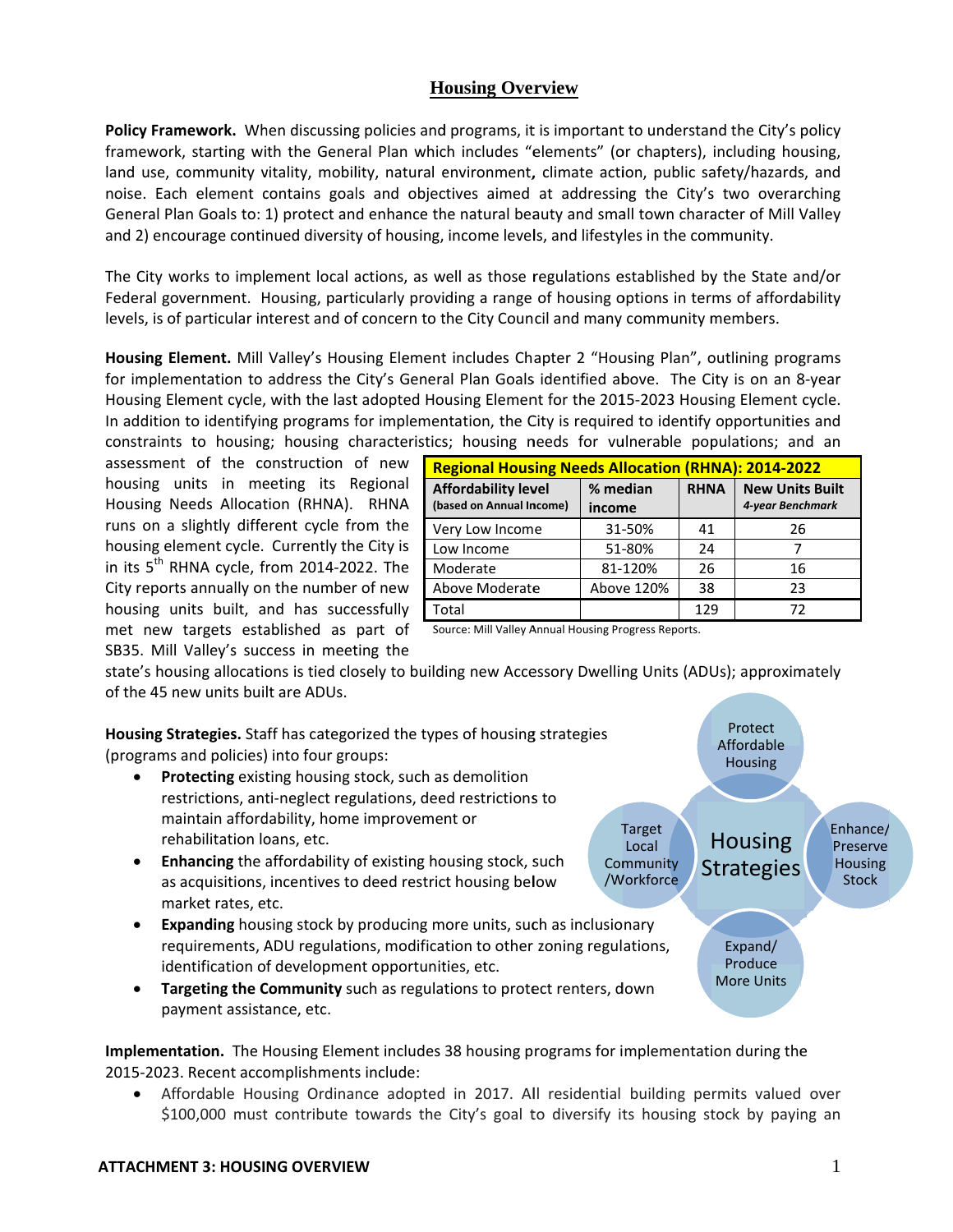## **Housing Overview**

Policy Framework. When discussing policies and programs, it is important to understand the City's policy framework, starting with the General Plan which includes "elements" (or chapters), including housing, land use, community vitality, mobility, natural environment, climate action, public safety/hazards, and noise. Each element contains goals and objectives aimed at addressing the City's two overarching General Plan Goals to: 1) protect and enhance the natural beauty and small town character of Mill Valley and 2) encourage continued diversity of housing, income levels, and lifestyles in the community.

The City works to implement local actions, as well as those regulations established by the State and/or Federal government. Housing, particularly providing a range of housing options in terms of affordability levels, is of particular interest and of concern to the City Council and many community members.

Housing Element. Mill Valley's Housing Element includes Chapter 2 "Housing Plan", outlining programs for implementation to address the City's General Plan Goals identified above. The City is on an 8-year Housing Element cycle, with the last adopted Housing Element for the 2015-2023 Housing Element cycle. In addition to identifying programs for implementation, the City is required to identify opportunities and constraints to housing; housing characteristics; housing needs for vulnerable populations; and an

assessment of the construction of new housing units in meeting its Regional Housing Needs Allocation (RHNA). RHNA runs on a slightly different cycle from the housing element cycle. Currently the City is in its 5<sup>th</sup> RHNA cycle, from 2014-2022. The City reports annually on the number of new housing units built, and has successfully met new targets established as part of Source: Mill Valley Annual Housing Progress Reports. SB35. Mill Valley's success in meeting the

| <b>Regional Housing Needs Allocation (RHNA): 2014-2022</b> |                    |             |                                            |  |
|------------------------------------------------------------|--------------------|-------------|--------------------------------------------|--|
| <b>Affordability level</b><br>(based on Annual Income)     | % median<br>income | <b>RHNA</b> | <b>New Units Built</b><br>4-year Benchmark |  |
| Very Low Income                                            | 31-50%             | 41          | 26                                         |  |
| Low Income                                                 | 51-80%             | 24          |                                            |  |
| Moderate                                                   | 81-120%            | 26          | 16                                         |  |
| Above Moderate                                             | Above 120%         | 38          | 23                                         |  |
| Total                                                      |                    | 129         | 72                                         |  |

state's housing allocations is tied closely to building new Accessory Dwelling Units (ADUs); approximately of the 45 new units built are ADUs.

Protect Housing Strategies. Staff has categorized the types of housing strategies Affordable (programs and policies) into four groups: **Housing** Protecting existing housing stock, such as demolition  $\bullet$ restrictions, anti-neglect regulations, deed restrictions to maintain affordability, home improvement or Enhance/ Target rehabilitation loans, etc. **Housing** Local Preserve  $\bullet$ **Enhancing** the affordability of existing housing stock, such Community **Housing Strategies** /Workforce **Stock** as acquisitions, incentives to deed restrict housing below market rates, etc. **Expanding** housing stock by producing more units, such as inclusionary  $\bullet$ requirements, ADU regulations, modification to other zoning regulations, Expand/ Produce identification of development opportunities, etc. **More Units** Targeting the Community such as regulations to protect renters, down  $\bullet$ payment assistance, etc.

Implementation. The Housing Element includes 38 housing programs for implementation during the 2015-2023. Recent accomplishments include:

Affordable Housing Ordinance adopted in 2017. All residential building permits valued over  $\bullet$ \$100,000 must contribute towards the City's goal to diversify its housing stock by paying an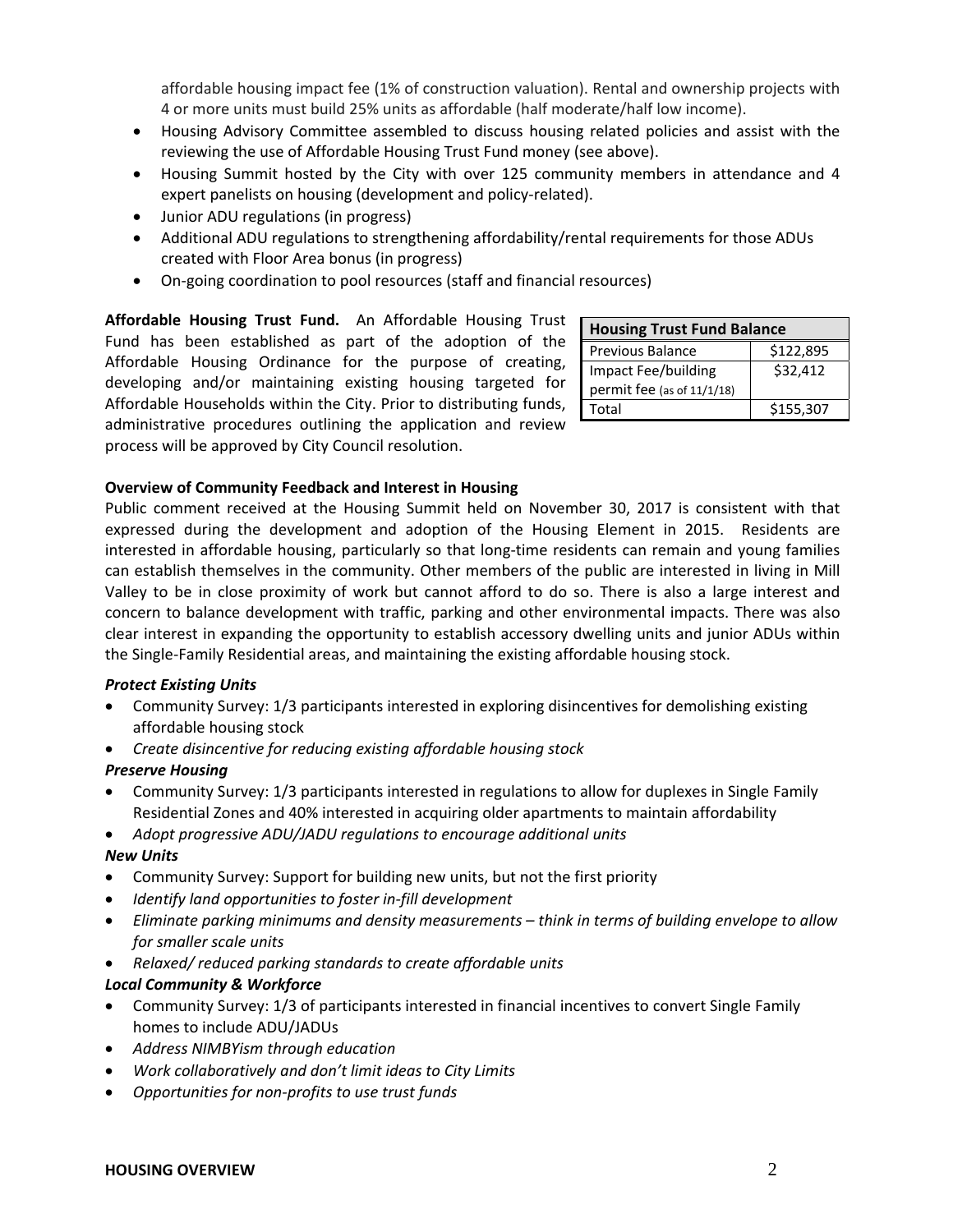affordable housing impact fee (1% of construction valuation). Rental and ownership projects with 4 or more units must build 25% units as affordable (half moderate/half low income).

- Housing Advisory Committee assembled to discuss housing related policies and assist with the reviewing the use of Affordable Housing Trust Fund money (see above).
- Housing Summit hosted by the City with over 125 community members in attendance and 4 expert panelists on housing (development and policy-related).
- Junior ADU regulations (in progress)
- Additional ADU regulations to strengthening affordability/rental requirements for those ADUs created with Floor Area bonus (in progress)
- On‐going coordination to pool resources (staff and financial resources)

**Affordable Housing Trust Fund.**  An Affordable Housing Trust Fund has been established as part of the adoption of the Affordable Housing Ordinance for the purpose of creating, developing and/or maintaining existing housing targeted for Affordable Households within the City. Prior to distributing funds, administrative procedures outlining the application and review process will be approved by City Council resolution.

| <b>Housing Trust Fund Balance</b> |           |  |
|-----------------------------------|-----------|--|
| Previous Balance                  | \$122,895 |  |
| Impact Fee/building               | \$32.412  |  |
| permit fee (as of 11/1/18)        |           |  |
| Total                             | \$155,307 |  |

### **Overview of Community Feedback and Interest in Housing**

Public comment received at the Housing Summit held on November 30, 2017 is consistent with that expressed during the development and adoption of the Housing Element in 2015. Residents are interested in affordable housing, particularly so that long-time residents can remain and young families can establish themselves in the community. Other members of the public are interested in living in Mill Valley to be in close proximity of work but cannot afford to do so. There is also a large interest and concern to balance development with traffic, parking and other environmental impacts. There was also clear interest in expanding the opportunity to establish accessory dwelling units and junior ADUs within the Single‐Family Residential areas, and maintaining the existing affordable housing stock.

### *Protect Existing Units*

- Community Survey: 1/3 participants interested in exploring disincentives for demolishing existing affordable housing stock
- *Create disincentive for reducing existing affordable housing stock*

### *Preserve Housing*

- Community Survey: 1/3 participants interested in regulations to allow for duplexes in Single Family Residential Zones and 40% interested in acquiring older apartments to maintain affordability
- *Adopt progressive ADU/JADU regulations to encourage additional units*

### *New Units*

- Community Survey: Support for building new units, but not the first priority
- *Identify land opportunities to foster in‐fill development*
- *Eliminate parking minimums and density measurements – think in terms of building envelope to allow for smaller scale units*
- *Relaxed/ reduced parking standards to create affordable units*

## *Local Community & Workforce*

- Community Survey: 1/3 of participants interested in financial incentives to convert Single Family homes to include ADU/JADUs
- *Address NIMBYism through education*
- *Work collaboratively and don't limit ideas to City Limits*
- *Opportunities for non‐profits to use trust funds*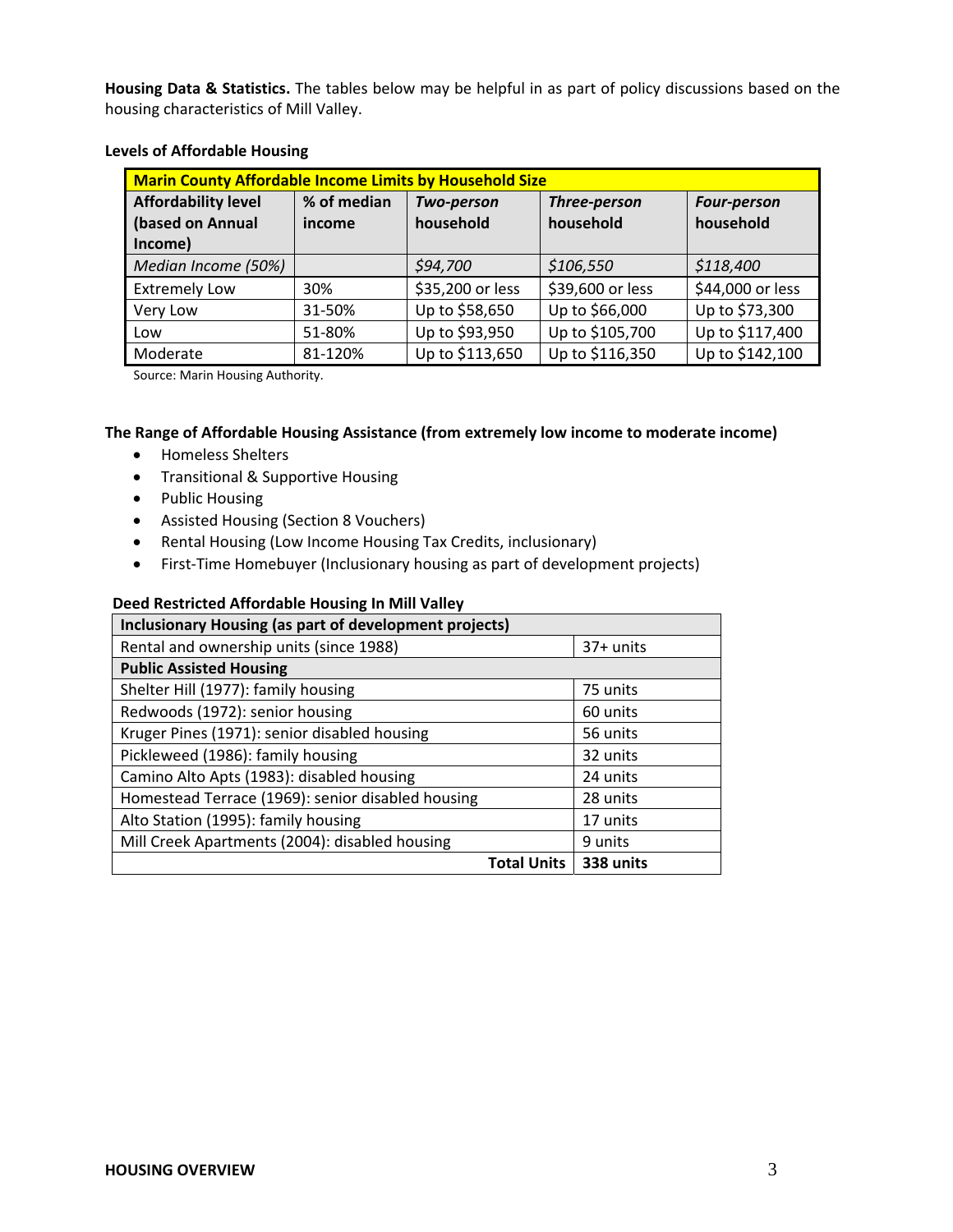**Housing Data & Statistics.** The tables below may be helpful in as part of policy discussions based on the housing characteristics of Mill Valley.

| <b>Marin County Affordable Income Limits by Household Size</b> |             |                  |                  |                    |
|----------------------------------------------------------------|-------------|------------------|------------------|--------------------|
| <b>Affordability level</b>                                     | % of median | Two-person       | Three-person     | <b>Four-person</b> |
| (based on Annual                                               | income      | household        | household        | household          |
| Income)                                                        |             |                  |                  |                    |
| Median Income (50%)                                            |             | \$94,700         | \$106,550        | \$118,400          |
| <b>Extremely Low</b>                                           | 30%         | \$35,200 or less | \$39,600 or less | \$44,000 or less   |
| Very Low                                                       | 31-50%      | Up to \$58,650   | Up to \$66,000   | Up to \$73,300     |
| Low                                                            | 51-80%      | Up to \$93,950   | Up to \$105,700  | Up to \$117,400    |
| Moderate                                                       | 81-120%     | Up to \$113,650  | Up to \$116,350  | Up to \$142,100    |

#### **Levels of Affordable Housing**

Source: Marin Housing Authority.

## **The Range of Affordable Housing Assistance (from extremely low income to moderate income)**

- Homeless Shelters
- Transitional & Supportive Housing
- Public Housing
- Assisted Housing (Section 8 Vouchers)
- Rental Housing (Low Income Housing Tax Credits, inclusionary)
- First‐Time Homebuyer (Inclusionary housing as part of development projects)

#### **Deed Restricted Affordable Housing In Mill Valley**

| <b>Inclusionary Housing (as part of development projects)</b> |           |  |  |
|---------------------------------------------------------------|-----------|--|--|
| Rental and ownership units (since 1988)                       | 37+ units |  |  |
| <b>Public Assisted Housing</b>                                |           |  |  |
| Shelter Hill (1977): family housing                           | 75 units  |  |  |
| Redwoods (1972): senior housing                               | 60 units  |  |  |
| Kruger Pines (1971): senior disabled housing                  | 56 units  |  |  |
| Pickleweed (1986): family housing                             | 32 units  |  |  |
| Camino Alto Apts (1983): disabled housing                     | 24 units  |  |  |
| Homestead Terrace (1969): senior disabled housing             | 28 units  |  |  |
| Alto Station (1995): family housing                           | 17 units  |  |  |
| Mill Creek Apartments (2004): disabled housing                | 9 units   |  |  |
| <b>Total Units</b>                                            | 338 units |  |  |